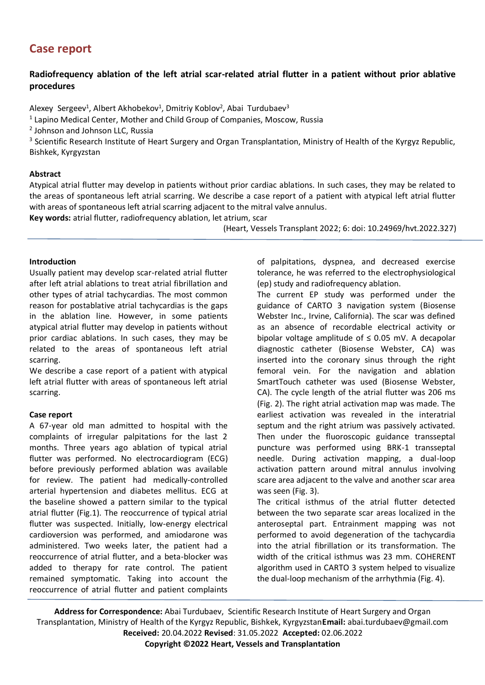# **Case report**

## **Radiofrequency ablation of the left atrial scar-related atrial flutter in a patient without prior ablative procedures**

Alexey Sergeev<sup>1</sup>, Albert Akhobekov<sup>1</sup>, Dmitriy Koblov<sup>2</sup>, Abai Turdubaev<sup>3</sup>

 $<sup>1</sup>$  Lapino Medical Center, Mother and Child Group of Companies, Moscow, Russia</sup>

<sup>2</sup> Johnson and Johnson LLC, Russia

<sup>3</sup> Scientific Research Institute of Heart Surgery and Organ Transplantation, Ministry of Health of the Kyrgyz Republic, Bishkek, Kyrgyzstan

### **Abstract**

Atypical atrial flutter may develop in patients without prior cardiac ablations. In such cases, they may be related to the areas of spontaneous left atrial scarring. We describe a case report of a patient with atypical left atrial flutter with areas of spontaneous left atrial scarring adjacent to the mitral valve annulus.

**Key words:** atrial flutter, radiofrequency ablation, let atrium, scar

(Heart, Vessels Transplant 2022; 6: doi: 10.24969/hvt.2022.327)

### **Introduction**

Usually patient may develop scar-related atrial flutter after left atrial ablations to treat atrial fibrillation and other types of atrial tachycardias. The most common reason for postablative atrial tachycardias is the gaps in the ablation line. However, in some patients atypical atrial flutter may develop in patients without prior cardiac ablations. In such cases, they may be related to the areas of spontaneous left atrial scarring.

We describe a case report of a patient with atypical left atrial flutter with areas of spontaneous left atrial scarring.

### **Case report**

A 67-year old man admitted to hospital with the complaints of irregular palpitations for the last 2 months. Three years ago ablation of typical atrial flutter was performed. No electrocardiogram (ECG) before previously performed ablation was available for review. The patient had medically-controlled arterial hypertension and diabetes mellitus. ECG at the baseline showed a pattern similar to the typical atrial flutter (Fig.1). The reoccurrence of typical atrial flutter was suspected. Initially, low-energy electrical cardioversion was performed, and amiodarone was administered. Two weeks later, the patient had a reoccurrence of atrial flutter, and a beta-blocker was added to therapy for rate control. The patient remained symptomatic. Taking into account the reoccurrence of atrial flutter and patient complaints of palpitations, dyspnea, and decreased exercise tolerance, he was referred to the electrophysiological (ep) study and radiofrequency ablation.

The current EP study was performed under the guidance of CARTO 3 navigation system (Biosense Webster Inc., Irvine, California). The scar was defined as an absence of recordable electrical activity or bipolar voltage amplitude of  $\leq$  0.05 mV. A decapolar diagnostic catheter (Biosense Webster, CA) was inserted into the coronary sinus through the right femoral vein. For the navigation and ablation SmartTouch catheter was used (Biosense Webster, CA). The cycle length of the atrial flutter was 206 ms (Fig. 2). The right atrial activation map was made. The earliest activation was revealed in the interatrial septum and the right atrium was passively activated. Then under the fluoroscopic guidance transseptal puncture was performed using BRK-1 transseptal needle. During activation mapping, a dual-loop activation pattern around mitral annulus involving scare area adjacent to the valve and another scar area was seen (Fig. 3).

The critical isthmus of the atrial flutter detected between the two separate scar areas localized in the anteroseptal part. Entrainment mapping was not performed to avoid degeneration of the tachycardia into the atrial fibrillation or its transformation. The width of the critical isthmus was 23 mm. COHERENT algorithm used in CARTO 3 system helped to visualize the dual-loop mechanism of the arrhythmia (Fig. 4).

**Address for Correspondence:** Abai Turdubaev, Scientific Research Institute of Heart Surgery and Organ Transplantation, Ministry of Health of the Kyrgyz Republic, Bishkek, Kyrgyzstan**Email:** abai.turdubaev@gmail.com **Received:** 20.04.2022 **Revised**: 31.05.2022 **Accepted:** 02.06.2022 **Copyright ©2022 Heart, Vessels and Transplantation**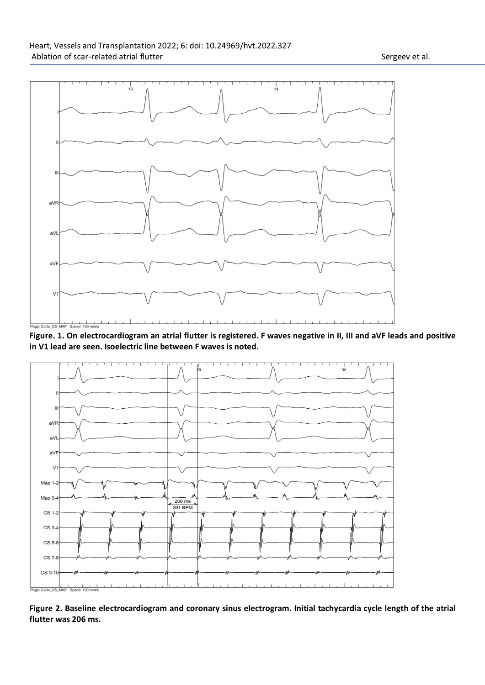

**Figure. 1. On electrocardiogram an atrial flutter is registered. F waves negative in II, III and aVF leads and positive in V1 lead are seen. Isoelectric line between F waves is noted.**



**Figure 2. Baseline electrocardiogram and coronary sinus electrogram. Initial tachycardia cycle length of the atrial flutter was 206 ms.**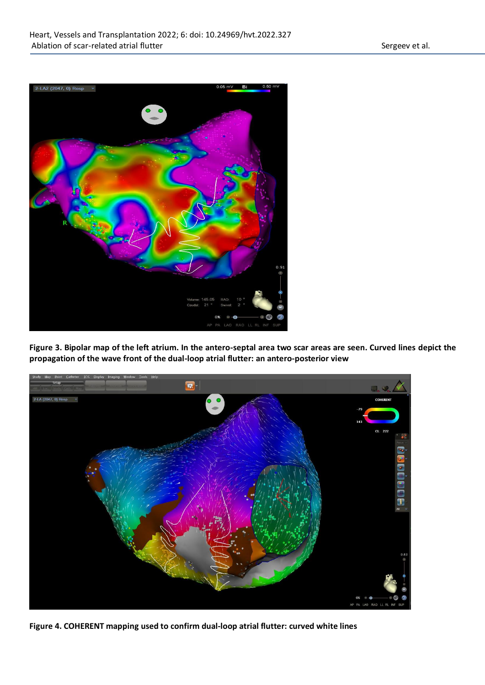

**Figure 3. Bipolar map of the left atrium. In the antero-septal area two scar areas are seen. Curved lines depict the propagation of the wave front of the dual-loop atrial flutter: an antero-posterior view**



**Figure 4. COHERENT mapping used to confirm dual-loop atrial flutter: curved white lines**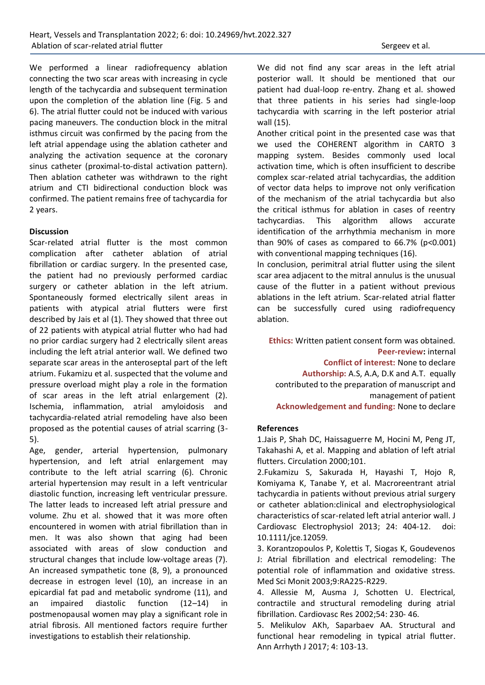We performed a linear radiofrequency ablation connecting the two scar areas with increasing in cycle length of the tachycardia and subsequent termination upon the completion of the ablation line (Fig. 5 and 6). The atrial flutter could not be induced with various pacing maneuvers. The conduction block in the mitral isthmus circuit was confirmed by the pacing from the left atrial appendage using the ablation catheter and analyzing the activation sequence at the coronary sinus catheter (proximal-to-distal activation pattern). Then ablation catheter was withdrawn to the right atrium and CTI bidirectional conduction block was confirmed. The patient remains free of tachycardia for 2 years.

### **Discussion**

Scar-related atrial flutter is the most common complication after catheter ablation of atrial fibrillation or cardiac surgery. In the presented case, the patient had no previously performed cardiac surgery or catheter ablation in the left atrium. Spontaneously formed electrically silent areas in patients with atypical atrial flutters were first described by Jais et al (1). They showed that three out of 22 patients with atypical atrial flutter who had had no prior cardiac surgery had 2 electrically silent areas including the left atrial anterior wall. We defined two separate scar areas in the anteroseptal part of the left atrium. Fukamizu et al. suspected that the volume and pressure overload might play a role in the formation of scar areas in the left atrial enlargement (2). Ischemia, inflammation, atrial amyloidosis and tachycardia-related atrial remodeling have also been proposed as the potential causes of atrial scarring (3- 5).

Age, gender, arterial hypertension, pulmonary hypertension, and left atrial enlargement may contribute to the left atrial scarring (6). Chronic arterial hypertension may result in a left ventricular diastolic function, increasing left ventricular pressure. The latter leads to increased left atrial pressure and volume. Zhu et al. showed that it was more often encountered in women with atrial fibrillation than in men. It was also shown that aging had been associated with areas of slow conduction and structural changes that include low-voltage areas (7). An increased sympathetic tone (8, 9), a pronounced decrease in estrogen level (10), an increase in an epicardial fat pad and metabolic syndrome (11), and an impaired diastolic function (12–14) in postmenopausal women may play a significant role in atrial fibrosis. All mentioned factors require further investigations to establish their relationship.

We did not find any scar areas in the left atrial posterior wall. It should be mentioned that our patient had dual-loop re-entry. Zhang et al. showed that three patients in his series had single-loop tachycardia with scarring in the left posterior atrial wall (15).

Another critical point in the presented case was that we used the COHERENT algorithm in CARTO 3 mapping system. Besides commonly used local activation time, which is often insufficient to describe complex scar-related atrial tachycardias, the addition of vector data helps to improve not only verification of the mechanism of the atrial tachycardia but also the critical isthmus for ablation in cases of reentry tachycardias. This algorithm allows accurate identification of the arrhythmia mechanism in more than 90% of cases as compared to  $66.7\%$  (p<0.001) with conventional mapping techniques (16).

In conclusion, perimitral atrial flutter using the silent scar area adjacent to the mitral annulus is the unusual cause of the flutter in a patient without previous ablations in the left atrium. Scar-related atrial flatter can be successfully cured using radiofrequency ablation.

**Ethics:** Written patient consent form was obtained. **Peer-review:** internal **Conflict of interest:** None to declare **Authorship:** A.S, A.A, D.K and A.T. equally contributed to the preparation of manuscript and management of patient **Acknowledgement and funding:** None to declare

### **References**

1.Jais P, Shah DC, Haissaguerre M, Hocini M, Peng JT, Takahashi A, et al. Mapping and ablation of left atrial flutters. Circulation 2000;101.

2.Fukamizu S, Sakurada H, Hayashi T, Hojo R, Komiyama K, Tanabe Y, et al. Macroreentrant atrial tachycardia in patients without previous atrial surgery or catheter ablation:clinical and electrophysiological characteristics of scar-related left atrial anterior wall. J Cardiovasc Electrophysiol 2013; 24: 404-12. doi: 10.1111/jce.12059.

3. Korantzopoulos P, Kolettis T, Siogas K, Goudevenos J: Atrial fibrillation and electrical remodeling: The potential role of inflammation and oxidative stress. Med Sci Monit 2003;9:RA225-R229.

4. Allessie M, Ausma J, Schotten U. Electrical, contractile and structural remodeling during atrial fibrillation. Cardiovasc Res 2002;54: 230- 46.

5. Melikulov AKh, Saparbaev AA. Structural and functional hear remodeling in typical atrial flutter. Ann Arrhyth J 2017; 4: 103-13.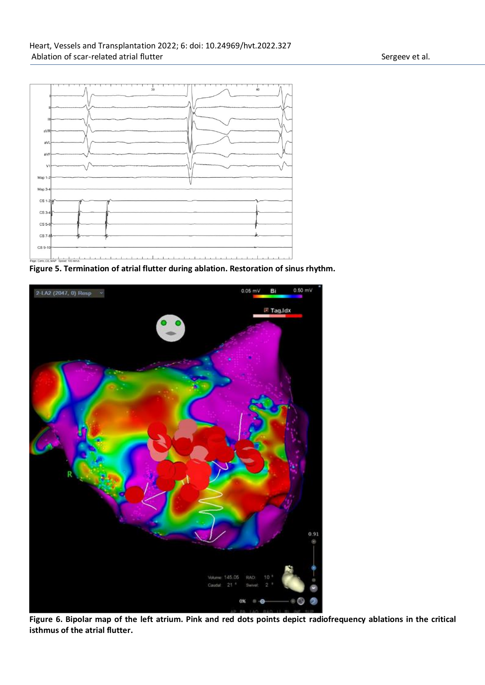

**Figure 5. Termination of atrial flutter during ablation. Restoration of sinus rhythm.**



**Figure 6. Bipolar map of the left atrium. Pink and red dots points depict radiofrequency ablations in the critical isthmus of the atrial flutter.**